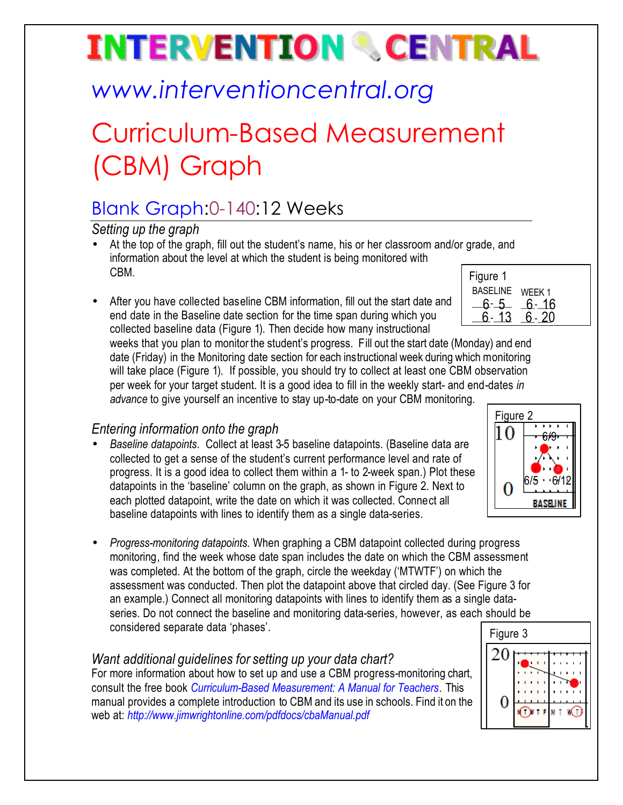# **INTERVENTION & CENTRAL**

## *www.interventioncentral.org*

## Curriculum-Based Measurement (CBM) Graph

### Blank Graph:0-140:12 Weeks

*Setting up the graph*

- Figure 1 • At the top of the graph, fill out the student's name, his or her classroom and/or grade, and information about the level at which the student is being monitored with CBM.
- After you have collected baseline CBM information, fill out the start date and end date in the Baseline date section for the time span during which you collected baseline data (Figure 1). Then decide how many instructional

weeks that you plan to monitor the student's progress. Fill out the start date (Monday) and end date (Friday) in the Monitoring date section for each instructional week during which monitoring will take place (Figure 1). If possible, you should try to collect at least one CBM observation per week for your target student. It is a good idea to fill in the weekly start- and end-dates *in* 

*advance* to give yourself an incentive to stay up-to-date on your CBM monitoring.

### *Entering information onto the graph*

- *Baseline datapoints*. Collect at least 3-5 baseline datapoints. (Baseline data are collected to get a sense of the student's current performance level and rate of progress. It is a good idea to collect them within a 1- to 2-week span.) Plot these datapoints in the 'baseline' column on the graph, as shown in Figure 2. Next to each plotted datapoint, write the date on which it was collected. Connect all baseline datapoints with lines to identify them as a single data-series.
- *Progress-monitoring datapoints*. When graphing a CBM datapoint collected during progress monitoring, find the week whose date span includes the date on which the CBM assessment was completed. At the bottom of the graph, circle the weekday ('MTWTF') on which the assessment was conducted. Then plot the datapoint above that circled day. (See Figure 3 for an example.) Connect all monitoring datapoints with lines to identify them as a single dataseries. Do not connect the baseline and monitoring data-series, however, as each should be considered separate data 'phases'.

### *Want additional guidelines for setting up your data chart?*

For more information about how to set up and use a CBM progress-monitoring chart, consult the free book *Curriculum-Based Measurement: A Manual for Teachers.* This manual provides a complete introduction to CBM and its use in schools. Find it on the web at: *http://www.jimwrightonline.com/pdfdocs/cbaManual.pdf*

| i iyulu i       |          |
|-----------------|----------|
| BASELINE WEEK 1 |          |
| 6-5             | $6 - 16$ |
| $\sqrt{13}$     | ճ - 20   |
|                 |          |